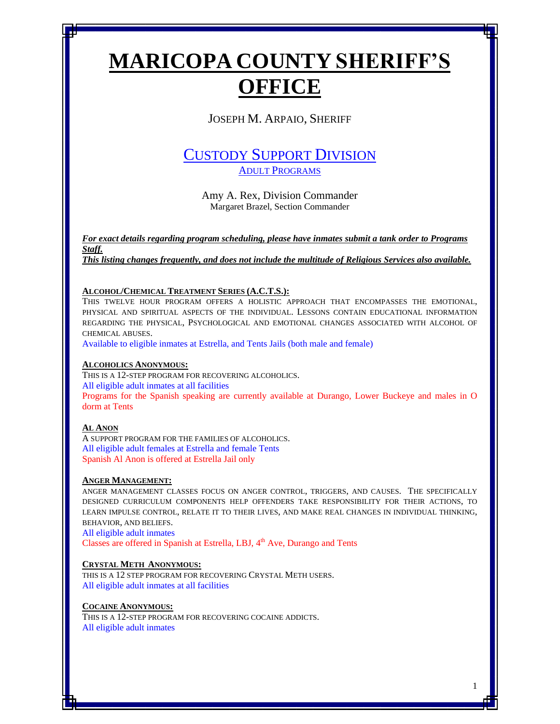# **MARICOPA COUNTY SHERIFF'S OFFICE**

JOSEPH M. ARPAIO, SHERIFF

# CUSTODY SUPPORT DIVISION ADULT PROGRAMS

Amy A. Rex, Division Commander Margaret Brazel, Section Commander

*For exact details regarding program scheduling, please have inmates submit a tank order to Programs Staff. This listing changes frequently, and does not include the multitude of Religious Services also available.*

# **ALCOHOL/CHEMICAL TREATMENT SERIES (A.C.T.S.):**

THIS TWELVE HOUR PROGRAM OFFERS A HOLISTIC APPROACH THAT ENCOMPASSES THE EMOTIONAL, PHYSICAL AND SPIRITUAL ASPECTS OF THE INDIVIDUAL. LESSONS CONTAIN EDUCATIONAL INFORMATION REGARDING THE PHYSICAL, PSYCHOLOGICAL AND EMOTIONAL CHANGES ASSOCIATED WITH ALCOHOL OF CHEMICAL ABUSES.

Available to eligible inmates at Estrella, and Tents Jails (both male and female)

# **ALCOHOLICS ANONYMOUS:**

THIS IS A 12-STEP PROGRAM FOR RECOVERING ALCOHOLICS. All eligible adult inmates at all facilities Programs for the Spanish speaking are currently available at Durango, Lower Buckeye and males in O dorm at Tents

# **AL ANON**

A SUPPORT PROGRAM FOR THE FAMILIES OF ALCOHOLICS. All eligible adult females at Estrella and female Tents Spanish Al Anon is offered at Estrella Jail only

# **ANGER MANAGEMENT:**

ANGER MANAGEMENT CLASSES FOCUS ON ANGER CONTROL, TRIGGERS, AND CAUSES. THE SPECIFICALLY DESIGNED CURRICULUM COMPONENTS HELP OFFENDERS TAKE RESPONSIBILITY FOR THEIR ACTIONS, TO LEARN IMPULSE CONTROL, RELATE IT TO THEIR LIVES, AND MAKE REAL CHANGES IN INDIVIDUAL THINKING, BEHAVIOR, AND BELIEFS.

All eligible adult inmates Classes are offered in Spanish at Estrella, LBJ, 4<sup>th</sup> Ave, Durango and Tents

# **CRYSTAL METH ANONYMOUS:**

THIS IS A 12 STEP PROGRAM FOR RECOVERING CRYSTAL METH USERS. All eligible adult inmates at all facilities

# **COCAINE ANONYMOUS:**

THIS IS A 12-STEP PROGRAM FOR RECOVERING COCAINE ADDICTS. All eligible adult inmates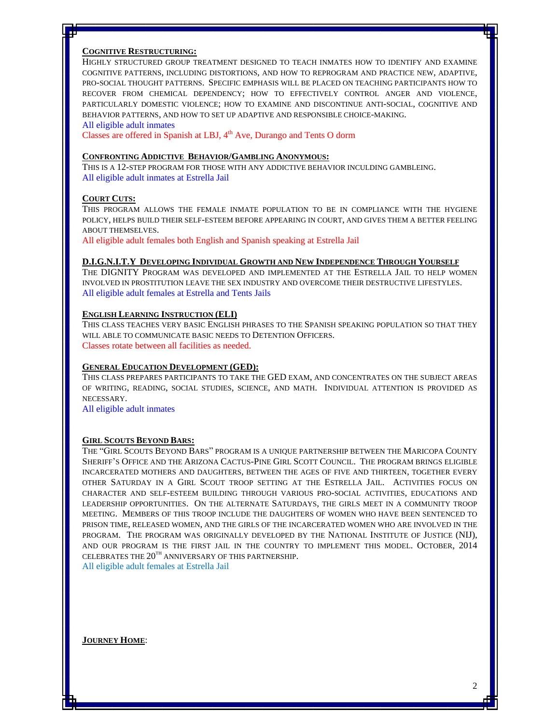#### **COGNITIVE RESTRUCTURING:**

HIGHLY STRUCTURED GROUP TREATMENT DESIGNED TO TEACH INMATES HOW TO IDENTIFY AND EXAMINE COGNITIVE PATTERNS, INCLUDING DISTORTIONS, AND HOW TO REPROGRAM AND PRACTICE NEW, ADAPTIVE, PRO-SOCIAL THOUGHT PATTERNS. SPECIFIC EMPHASIS WILL BE PLACED ON TEACHING PARTICIPANTS HOW TO RECOVER FROM CHEMICAL DEPENDENCY; HOW TO EFFECTIVELY CONTROL ANGER AND VIOLENCE, PARTICULARLY DOMESTIC VIOLENCE; HOW TO EXAMINE AND DISCONTINUE ANTI-SOCIAL, COGNITIVE AND BEHAVIOR PATTERNS, AND HOW TO SET UP ADAPTIVE AND RESPONSIBLE CHOICE-MAKING.

#### All eligible adult inmates

Classes are offered in Spanish at LBJ, 4<sup>th</sup> Ave, Durango and Tents O dorm

#### **CONFRONTING ADDICTIVE BEHAVIOR/GAMBLING ANONYMOUS:**

THIS IS A 12-STEP PROGRAM FOR THOSE WITH ANY ADDICTIVE BEHAVIOR INCULDING GAMBLEING. All eligible adult inmates at Estrella Jail

### **COURT CUTS:**

THIS PROGRAM ALLOWS THE FEMALE INMATE POPULATION TO BE IN COMPLIANCE WITH THE HYGIENE POLICY, HELPS BUILD THEIR SELF-ESTEEM BEFORE APPEARING IN COURT, AND GIVES THEM A BETTER FEELING ABOUT THEMSELVES.

All eligible adult females both English and Spanish speaking at Estrella Jail

#### **D.I.G.N.I.T.Y DEVELOPING INDIVIDUAL GROWTH AND NEW INDEPENDENCE THROUGH YOURSELF**

THE DIGNITY PROGRAM WAS DEVELOPED AND IMPLEMENTED AT THE ESTRELLA JAIL TO HELP WOMEN INVOLVED IN PROSTITUTION LEAVE THE SEX INDUSTRY AND OVERCOME THEIR DESTRUCTIVE LIFESTYLES. All eligible adult females at Estrella and Tents Jails

### **ENGLISH LEARNING INSTRUCTION (ELI)**

THIS CLASS TEACHES VERY BASIC ENGLISH PHRASES TO THE SPANISH SPEAKING POPULATION SO THAT THEY WILL ABLE TO COMMUNICATE BASIC NEEDS TO DETENTION OFFICERS. Classes rotate between all facilities as needed.

#### **GENERAL EDUCATION DEVELOPMENT (GED):**

THIS CLASS PREPARES PARTICIPANTS TO TAKE THE GED EXAM, AND CONCENTRATES ON THE SUBJECT AREAS OF WRITING, READING, SOCIAL STUDIES, SCIENCE, AND MATH. INDIVIDUAL ATTENTION IS PROVIDED AS NECESSARY.

All eligible adult inmates

#### **GIRL SCOUTS BEYOND BARS:**

THE "GIRL SCOUTS BEYOND BARS" PROGRAM IS A UNIQUE PARTNERSHIP BETWEEN THE MARICOPA COUNTY SHERIFF'S OFFICE AND THE ARIZONA CACTUS-PINE GIRL SCOTT COUNCIL. THE PROGRAM BRINGS ELIGIBLE INCARCERATED MOTHERS AND DAUGHTERS, BETWEEN THE AGES OF FIVE AND THIRTEEN, TOGETHER EVERY OTHER SATURDAY IN A GIRL SCOUT TROOP SETTING AT THE ESTRELLA JAIL. ACTIVITIES FOCUS ON CHARACTER AND SELF-ESTEEM BUILDING THROUGH VARIOUS PRO-SOCIAL ACTIVITIES, EDUCATIONS AND LEADERSHIP OPPORTUNITIES. ON THE ALTERNATE SATURDAYS, THE GIRLS MEET IN A COMMUNITY TROOP MEETING. MEMBERS OF THIS TROOP INCLUDE THE DAUGHTERS OF WOMEN WHO HAVE BEEN SENTENCED TO PRISON TIME, RELEASED WOMEN, AND THE GIRLS OF THE INCARCERATED WOMEN WHO ARE INVOLVED IN THE PROGRAM. THE PROGRAM WAS ORIGINALLY DEVELOPED BY THE NATIONAL INSTITUTE OF JUSTICE (NIJ), AND OUR PROGRAM IS THE FIRST JAIL IN THE COUNTRY TO IMPLEMENT THIS MODEL. OCTOBER, 2014 CELEBRATES THE  $20^{TH}$  ANNIVERSARY OF THIS PARTNERSHIP.

All eligible adult females at Estrella Jail

**JOURNEY HOME**: